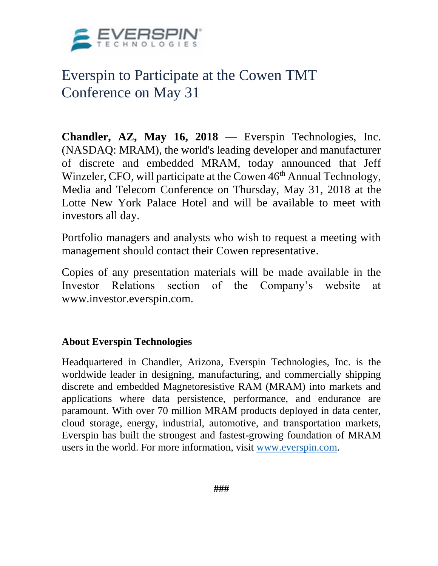

## Everspin to Participate at the Cowen TMT Conference on May 31

**Chandler, AZ, May 16, 2018** — Everspin Technologies, Inc. (NASDAQ: MRAM), the world's leading developer and manufacturer of discrete and embedded MRAM, today announced that Jeff Winzeler, CFO, will participate at the Cowen 46<sup>th</sup> Annual Technology, Media and Telecom Conference on Thursday, May 31, 2018 at the Lotte New York Palace Hotel and will be available to meet with investors all day.

Portfolio managers and analysts who wish to request a meeting with management should contact their Cowen representative.

Copies of any presentation materials will be made available in the Investor Relations section of the Company's website at [www.investor.everspin.com.](https://www.globenewswire.com/Tracker?data=TlUGFlX-xtFno-Jvvn8FJ7eqiLnLiDTf8oyfIaKitPSy3w8VOYvRbbW3M9hxRXshYFGHhKD5iEohajwDAwDr_ycKHpq6OXCCR5sjZ_urxDxYWmZyWzHwH2WAKLkgm9TuxmA0bduKz1Actekgla7i2myNRWc19uy1xKpDEhq9La06ABgqiI9bzGI5wYlMjhhFUWyKzvAyJXWbvAImT12SBdyiHTyyDEXR0gnOFOF6igrbYBRfP7XqCxfMvUAGWnoKuBiK21KFo03WaMbiGeyn7w==)

## **About Everspin Technologies**

Headquartered in Chandler, Arizona, Everspin Technologies, Inc. is the worldwide leader in designing, manufacturing, and commercially shipping discrete and embedded Magnetoresistive RAM (MRAM) into markets and applications where data persistence, performance, and endurance are paramount. With over 70 million MRAM products deployed in data center, cloud storage, energy, industrial, automotive, and transportation markets, Everspin has built the strongest and fastest-growing foundation of MRAM users in the world. For more information, visit [www.everspin.com.](http://www.everspin.com/)